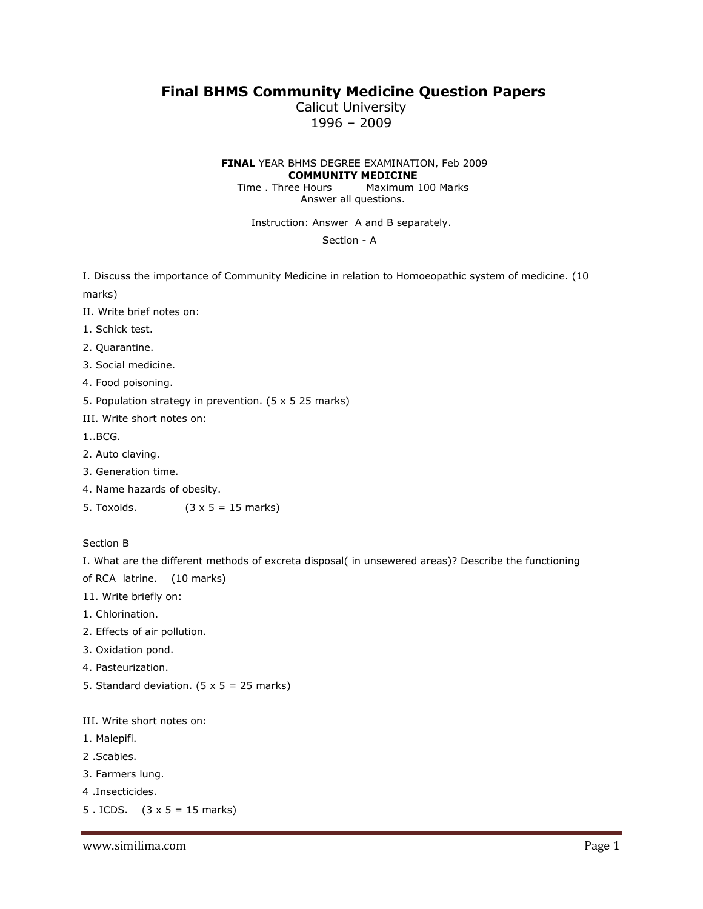## **Final BHMS Community Medicine Question Papers**

Calicut University 1996 – 2009

**FINAL** YEAR BHMS DEGREE EXAMINATION, Feb 2009 **COMMUNITY MEDICINE**

Time . Three Hours Maximum 100 Marks Answer all questions.

Instruction: Answer A and B separately.

Section - A

I. Discuss the importance of Community Medicine in relation to Homoeopathic system of medicine. (10 marks)

- II. Write brief notes on:
- 1. Schick test.
- 2. Quarantine.
- 3. Social medicine.
- 4. Food poisoning.
- 5. Population strategy in prevention. (5 x 5 25 marks)
- III. Write short notes on:
- 1..BCG.
- 2. Auto claving.
- 3. Generation time.
- 4. Name hazards of obesity.
- 5. Toxoids.  $(3 \times 5 = 15 \text{ marks})$

## Section B

I. What are the different methods of excreta disposal( in unsewered areas)? Describe the functioning of RCA latrine. (10 marks)

11. Write briefly on:

- 1. Chlorination.
- 2. Effects of air pollution.
- 3. Oxidation pond.
- 4. Pasteurization.
- 5. Standard deviation.  $(5 \times 5 = 25 \text{ marks})$

III. Write short notes on:

- 1. Malepifi.
- 2 .Scabies.
- 3. Farmers lung.
- 4 .Insecticides.
- 5 . ICDS.  $(3 \times 5 = 15 \text{ marks})$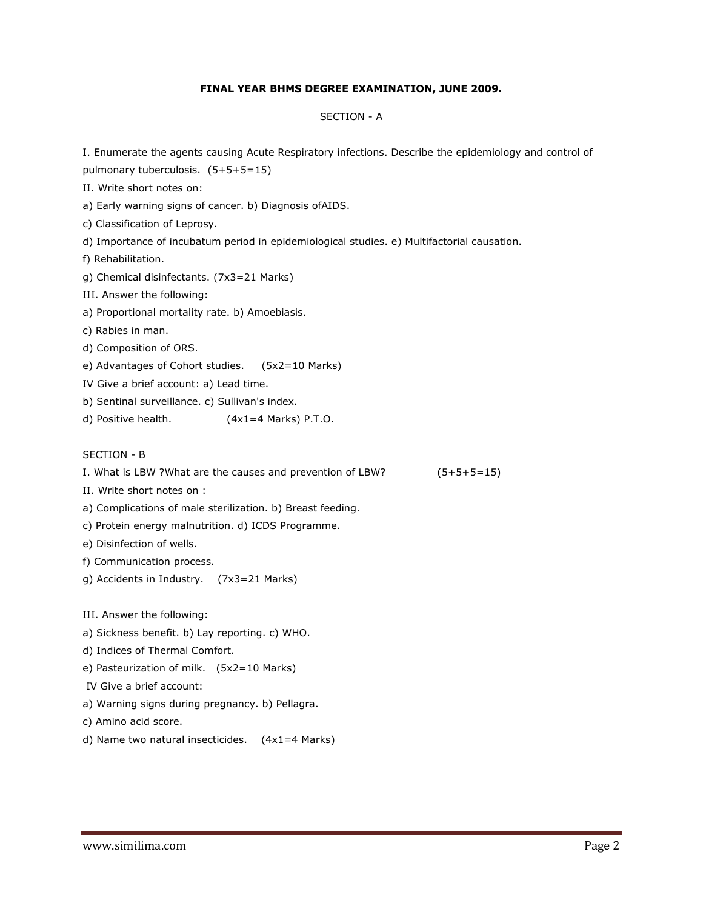## **FINAL YEAR BHMS DEGREE EXAMINATION, JUNE 2009.**

#### SECTION - A

I. Enumerate the agents causing Acute Respiratory infections. Describe the epidemiology and control of pulmonary tuberculosis. (5+5+5=15) II. Write short notes on: a) Early warning signs of cancer. b) Diagnosis ofAIDS. c) Classification of Leprosy. d) Importance of incubatum period in epidemiological studies. e) Multifactorial causation. f) Rehabilitation. g) Chemical disinfectants. (7x3=21 Marks) III. Answer the following: a) Proportional mortality rate. b) Amoebiasis. c) Rabies in man. d) Composition of ORS. e) Advantages of Cohort studies. (5x2=10 Marks) IV Give a brief account: a) Lead time. b) Sentinal surveillance. c) Sullivan's index. d) Positive health.  $(4x1=4$  Marks) P.T.O. SECTION - B I. What is LBW ?What are the causes and prevention of LBW? (5+5+5=15) II. Write short notes on : a) Complications of male sterilization. b) Breast feeding. c) Protein energy malnutrition. d) ICDS Programme. e) Disinfection of wells. f) Communication process. g) Accidents in Industry. (7x3=21 Marks) III. Answer the following: a) Sickness benefit. b) Lay reporting. c) WHO. d) Indices of Thermal Comfort. e) Pasteurization of milk. (5x2=10 Marks) IV Give a brief account: a) Warning signs during pregnancy. b) Pellagra. c) Amino acid score. d) Name two natural insecticides. (4x1=4 Marks)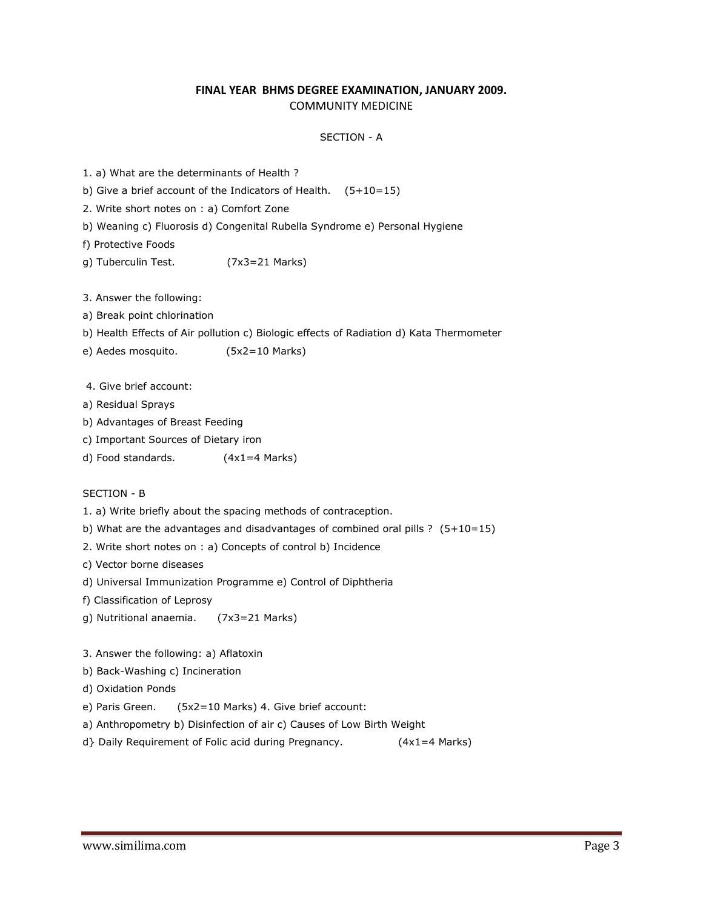## **FINAL YEAR BHMS DEGREE EXAMINATION, JANUARY 2009.** COMMUNITY MEDICINE

#### SECTION - A

|  |  | 1. a) What are the determinants of Health ? |  |
|--|--|---------------------------------------------|--|
|  |  |                                             |  |

b) Give a brief account of the Indicators of Health.  $(5+10=15)$ 

2. Write short notes on : a) Comfort Zone

b) Weaning c) Fluorosis d) Congenital Rubella Syndrome e) Personal Hygiene

f) Protective Foods

g) Tuberculin Test. (7x3=21 Marks)

3. Answer the following:

a) Break point chlorination

b) Health Effects of Air pollution c) Biologic effects of Radiation d) Kata Thermometer

e) Aedes mosquito. (5x2=10 Marks)

4. Give brief account:

- a) Residual Sprays
- b) Advantages of Breast Feeding
- c) Important Sources of Dietary iron
- d) Food standards. (4x1=4 Marks)

SECTION - B

1. a) Write briefly about the spacing methods of contraception.

b) What are the advantages and disadvantages of combined oral pills ?  $(5+10=15)$ 

2. Write short notes on : a) Concepts of control b) Incidence

c) Vector borne diseases

d) Universal Immunization Programme e) Control of Diphtheria

f) Classification of Leprosy

g) Nutritional anaemia. (7x3=21 Marks)

3. Answer the following: a) Aflatoxin

b) Back-Washing c) Incineration

d) Oxidation Ponds

e) Paris Green. (5x2=10 Marks) 4. Give brief account:

a) Anthropometry b) Disinfection of air c) Causes of Low Birth Weight

d} Daily Requirement of Folic acid during Pregnancy. (4x1=4 Marks)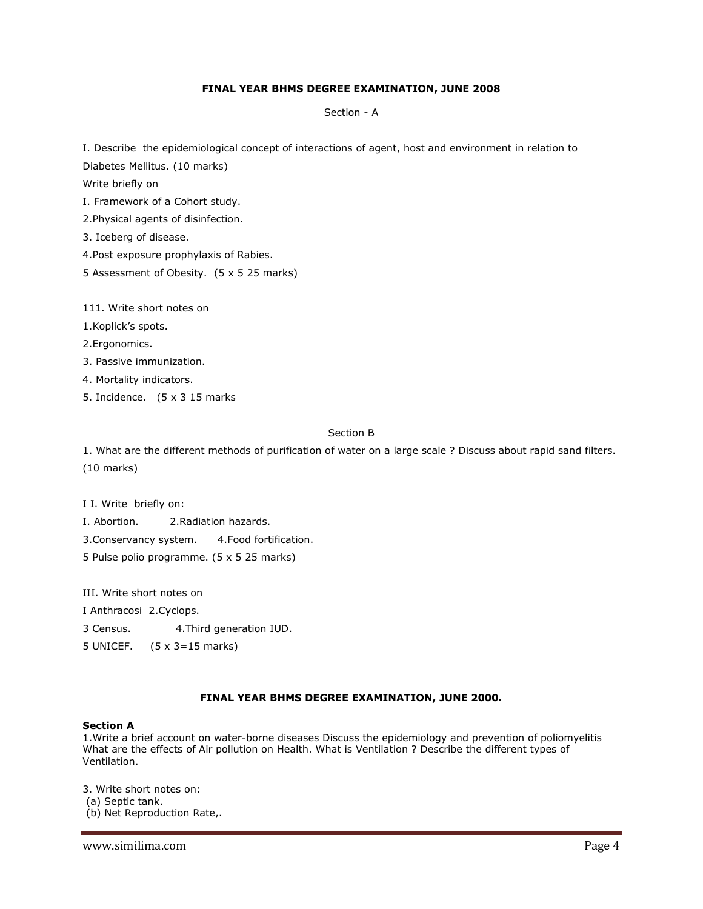## **FINAL YEAR BHMS DEGREE EXAMINATION, JUNE 2008**

Section - A

I. Describe the epidemiological concept of interactions of agent, host and environment in relation to

Diabetes Mellitus. (10 marks)

Write briefly on

I. Framework of a Cohort study.

2.Physical agents of disinfection.

3. Iceberg of disease.

4.Post exposure prophylaxis of Rabies.

5 Assessment of Obesity. (5 x 5 25 marks)

111. Write short notes on

1.Koplick's spots.

2.Ergonomics.

3. Passive immunization.

4. Mortality indicators.

5. Incidence. (5 x 3 15 marks

## Section B

1. What are the different methods of purification of water on a large scale ? Discuss about rapid sand filters. (10 marks)

I I. Write briefly on:

I. Abortion. 2.Radiation hazards.

3.Conservancy system. 4.Food fortification.

5 Pulse polio programme. (5 x 5 25 marks)

III. Write short notes on

I Anthracosi 2.Cyclops.

3 Census. 4.Third generation IUD.

5 UNICEF. (5 x 3=15 marks)

## **FINAL YEAR BHMS DEGREE EXAMINATION, JUNE 2000.**

#### **Section A**

1.Write a brief account on water-borne diseases Discuss the epidemiology and prevention of poliomyelitis What are the effects of Air pollution on Health. What is Ventilation ? Describe the different types of Ventilation.

3. Write short notes on: (a) Septic tank. (b) Net Reproduction Rate,.

www.similima.com **Page 4**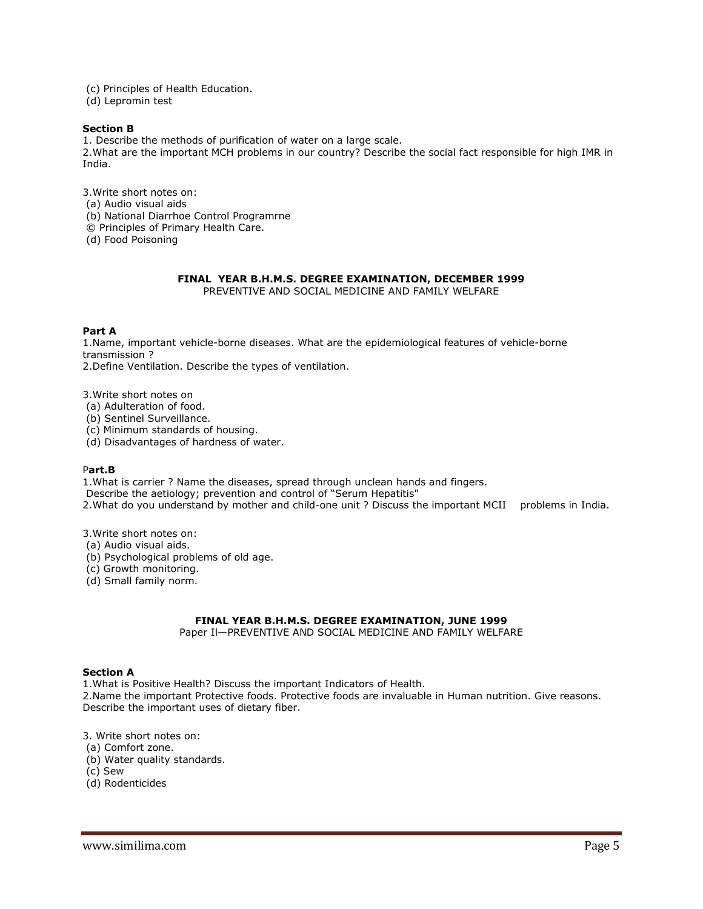(c) Principles of Health Education.

(d) Lepromin test

#### **Section B**

1. Describe the methods of purification of water on a large scale. 2.What are the important MCH problems in our country? Describe the social fact responsible for high IMR in India.

3.Write short notes on: (a) Audio visual aids (b) National Diarrhoe Control Programrne © Principles of Primary Health Care. (d) Food Poisoning

# **FINAL YEAR B.H.M.S. DEGREE EXAMINATION, DECEMBER 1999**

PREVENTIVE AND SOCIAL MEDICINE AND FAMILY WELFARE

## **Part A**

1.Name, important vehicle-borne diseases. What are the epidemiological features of vehicle-borne transmission ?

2.Define Ventilation. Describe the types of ventilation.

3.Write short notes on

(a) Adulteration of food.

(b) Sentinel Surveillance.

(c) Minimum standards of housing.

(d) Disadvantages of hardness of water.

#### P**art.B**

1.What is carrier ? Name the diseases, spread through unclean hands and fingers.

Describe the aetiology; prevention and control of "Serum Hepatitis"

2.What do you understand by mother and child-one unit ? Discuss the important MCII problems in India.

3.Write short notes on:

- (a) Audio visual aids.
- (b) Psychological problems of old age.

(c) Growth monitoring.

(d) Small family norm.

## **FINAL YEAR B.H.M.S. DEGREE EXAMINATION, JUNE 1999**

Paper Il—PREVENTIVE AND SOCIAL MEDICINE AND FAMILY WELFARE

#### **Section A**

1.What is Positive Health? Discuss the important Indicators of Health.

2.Name the important Protective foods. Protective foods are invaluable in Human nutrition. Give reasons. Describe the important uses of dietary fiber.

3. Write short notes on:

(a) Comfort zone.

(b) Water quality standards.

(c) Sew

(d) Rodenticides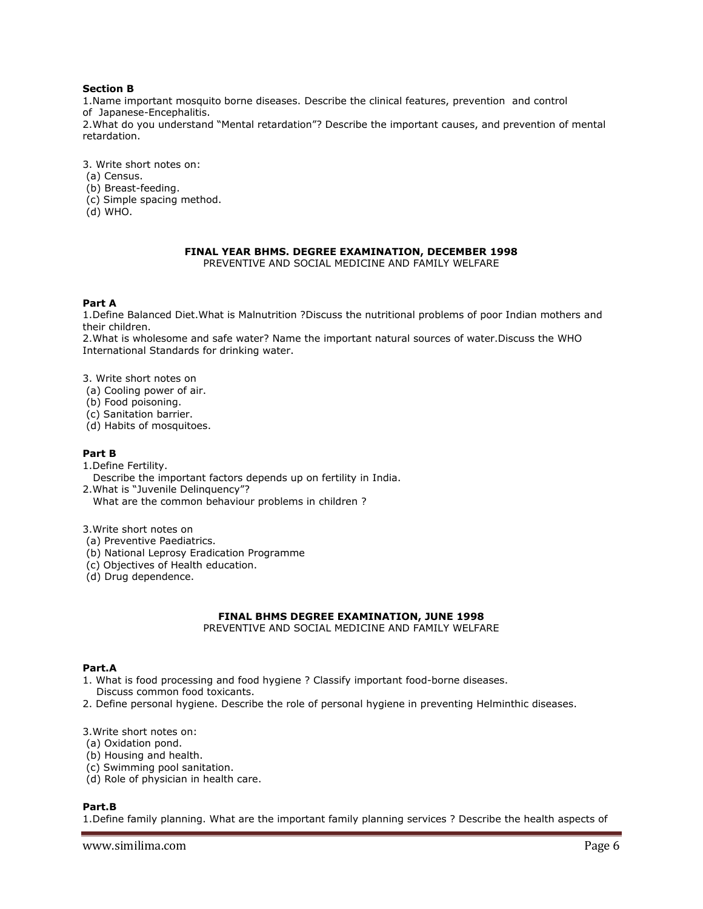## **Section B**

1.Name important mosquito borne diseases. Describe the clinical features, prevention and control of Japanese-Encephalitis.

2.What do you understand "Mental retardation"? Describe the important causes, and prevention of mental retardation.

3. Write short notes on:

- (a) Census.
- (b) Breast-feeding.
- (c) Simple spacing method.
- (d) WHO.

## **FINAL YEAR BHMS. DEGREE EXAMINATION, DECEMBER 1998**

PREVENTIVE AND SOCIAL MEDICINE AND FAMILY WELFARE

#### **Part A**

1.Define Balanced Diet.What is Malnutrition ?Discuss the nutritional problems of poor Indian mothers and their children.

2.What is wholesome and safe water? Name the important natural sources of water.Discuss the WHO International Standards for drinking water.

3. Write short notes on

- (a) Cooling power of air.
- (b) Food poisoning.
- (c) Sanitation barrier.
- (d) Habits of mosquitoes.

## **Part B**

1.Define Fertility.

Describe the important factors depends up on fertility in India.

- 2.What is "Juvenile Delinquency"?
- What are the common behaviour problems in children ?

3.Write short notes on

- (a) Preventive Paediatrics.
- (b) National Leprosy Eradication Programme
- (c) Objectives of Health education.
- (d) Drug dependence.

## **FINAL BHMS DEGREE EXAMINATION, JUNE 1998**

PREVENTIVE AND SOCIAL MEDICINE AND FAMILY WELFARE

#### **Part.A**

- 1. What is food processing and food hygiene ? Classify important food-borne diseases. Discuss common food toxicants.
- 2. Define personal hygiene. Describe the role of personal hygiene in preventing Helminthic diseases.

3.Write short notes on:

- (a) Oxidation pond.
- (b) Housing and health.
- (c) Swimming pool sanitation.
- (d) Role of physician in health care.

#### **Part.B**

1.Define family planning. What are the important family planning services ? Describe the health aspects of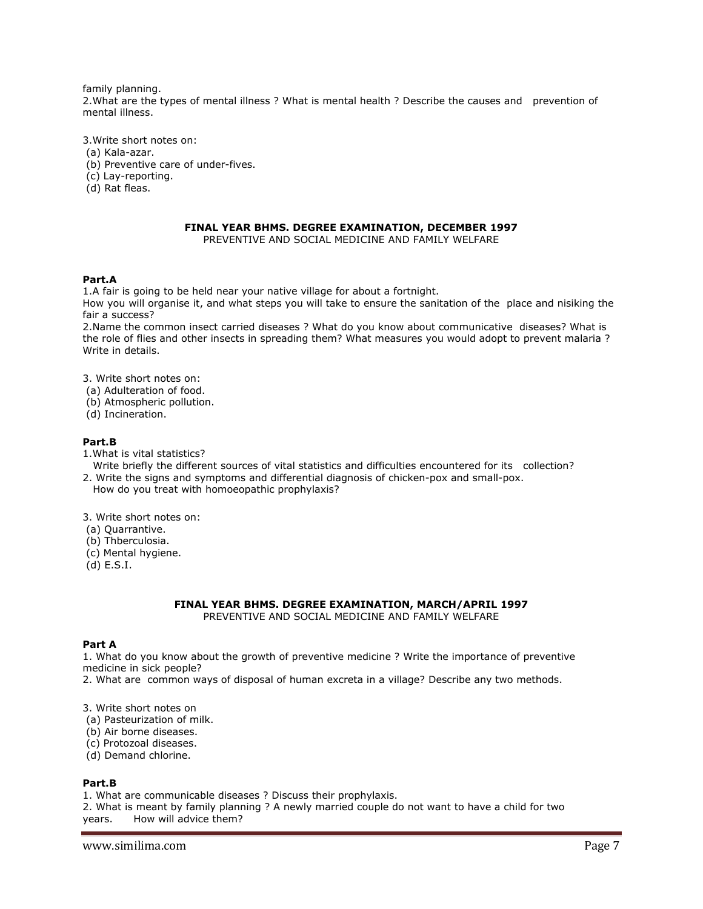family planning. 2.What are the types of mental illness ? What is mental health ? Describe the causes and prevention of mental illness.

3.Write short notes on:

- (a) Kala-azar.
- (b) Preventive care of under-fives.
- (c) Lay-reporting.
- (d) Rat fleas.

## **FINAL YEAR BHMS. DEGREE EXAMINATION, DECEMBER 1997**

PREVENTIVE AND SOCIAL MEDICINE AND FAMILY WELFARE

## **Part.A**

1.A fair is going to be held near your native village for about a fortnight.

How you will organise it, and what steps you will take to ensure the sanitation of the place and nisiking the fair a success?

2.Name the common insect carried diseases ? What do you know about communicative diseases? What is the role of flies and other insects in spreading them? What measures you would adopt to prevent malaria ? Write in details.

- 3. Write short notes on:
- (a) Adulteration of food.
- (b) Atmospheric pollution.
- (d) Incineration.

#### **Part.B**

- 1.What is vital statistics?
- Write briefly the different sources of vital statistics and difficulties encountered for its collection? 2. Write the signs and symptoms and differential diagnosis of chicken-pox and small-pox.
- How do you treat with homoeopathic prophylaxis?

3. Write short notes on:

- (a) Quarrantive.
- (b) Thberculosia.
- (c) Mental hygiene.
- (d) E.S.I.

#### **FINAL YEAR BHMS. DEGREE EXAMINATION, MARCH/APRIL 1997** PREVENTIVE AND SOCIAL MEDICINE AND FAMILY WELFARE

#### **Part A**

1. What do you know about the growth of preventive medicine ? Write the importance of preventive medicine in sick people?

2. What are common ways of disposal of human excreta in a village? Describe any two methods.

3. Write short notes on

- (a) Pasteurization of milk.
- (b) Air borne diseases.
- (c) Protozoal diseases.
- (d) Demand chlorine.

#### **Part.B**

1. What are communicable diseases ? Discuss their prophylaxis.

2. What is meant by family planning ? A newly married couple do not want to have a child for two years. How will advice them?